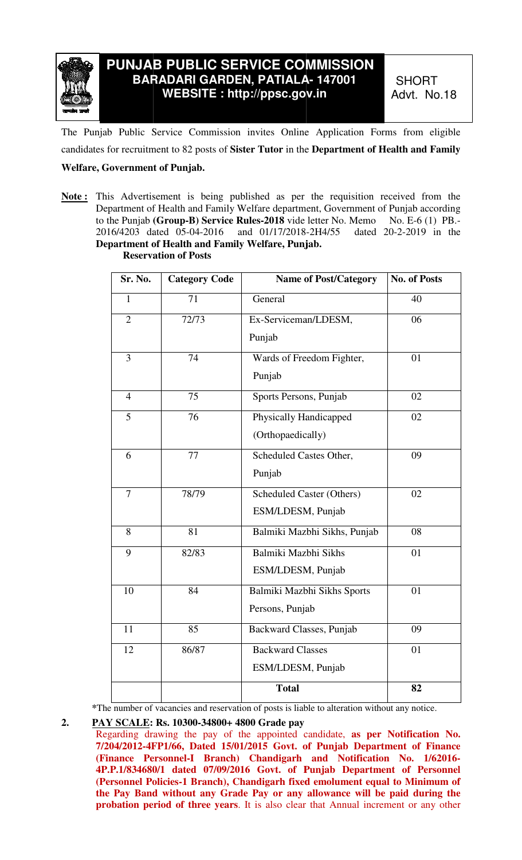

The Punjab Public Service Commission invites Online Application Forms from eligible The Punjab Public Service Commission invites Online Application Forms from eligible candidates for recruitment to 82 posts of Sister Tutor in the Department of Health and Family

## **Welfare, Government of Punjab.**

**Note :** This Advertisement is being published as per the requisition received from the Department of Health and Family Welfare department, Government of Punjab according to the Punjab **(Group (Group-B) Service Rules-2018** vide letter No. 2016/4203 dated 05 03 05-04-2016 and 01/17/2018- **Department of Health and Family Welfare, Punjab. Department of**  ement is being published as per the requisition received from the Health and Family Welfare department, Government of Punjab according<br>Group-B) Service Rules-2018 vide letter No. Memo No. E-6 (1) PB. letter No. Memo No. E-6 (1) PB.-<br>-2H4/55 dated 20-2-2019 in the

|                      |                                                                                                          | PUNJAB PUBLIC SERVICE COMMISSION<br><b>BARADARI GARDEN, PATIALA- 147001</b><br>WEBSITE: http://ppsc.gov.in                                                                                                                                                                                                                                                                                          | <b>SHORT</b><br>Advt. No.18                    |
|----------------------|----------------------------------------------------------------------------------------------------------|-----------------------------------------------------------------------------------------------------------------------------------------------------------------------------------------------------------------------------------------------------------------------------------------------------------------------------------------------------------------------------------------------------|------------------------------------------------|
|                      |                                                                                                          | p Public Service Commission invites Online Application Forms from eligible                                                                                                                                                                                                                                                                                                                          |                                                |
|                      |                                                                                                          | for recruitment to 82 posts of Sister Tutor in the Department of Health and Family                                                                                                                                                                                                                                                                                                                  |                                                |
| overnment of Punjab. |                                                                                                          |                                                                                                                                                                                                                                                                                                                                                                                                     |                                                |
|                      | 6/4203 dated 05-04-2016<br>partment of Health and Family Welfare, Punjab.<br><b>Reservation of Posts</b> | is Advertisement is being published as per the requisition received from the<br>partment of Health and Family Welfare department, Government of Punjab according<br>he Punjab (Group-B) Service Rules-2018 vide letter No. Memo<br>and 01/17/2018-2H4/55                                                                                                                                            | No. E-6 $(1)$ PB.-<br>dated $20-2-2019$ in the |
| Sr. No.              | <b>Category Code</b>                                                                                     | <b>Name of Post/Category</b>                                                                                                                                                                                                                                                                                                                                                                        | <b>No. of Posts</b>                            |
| $\mathbf{1}$         | 71                                                                                                       | General                                                                                                                                                                                                                                                                                                                                                                                             | 40                                             |
| $\overline{2}$       | 72/73                                                                                                    | Ex-Serviceman/LDESM,                                                                                                                                                                                                                                                                                                                                                                                | 06                                             |
|                      |                                                                                                          | Punjab                                                                                                                                                                                                                                                                                                                                                                                              |                                                |
| 3                    | 74                                                                                                       | Wards of Freedom Fighter,                                                                                                                                                                                                                                                                                                                                                                           | 01                                             |
|                      |                                                                                                          | Punjab                                                                                                                                                                                                                                                                                                                                                                                              |                                                |
| $\overline{4}$       | 75                                                                                                       | Sports Persons, Punjab                                                                                                                                                                                                                                                                                                                                                                              | 02                                             |
| 5                    | 76                                                                                                       | Physically Handicapped                                                                                                                                                                                                                                                                                                                                                                              | 02                                             |
|                      |                                                                                                          | (Orthopaedically)                                                                                                                                                                                                                                                                                                                                                                                   |                                                |
| 6                    | 77                                                                                                       | Scheduled Castes Other,                                                                                                                                                                                                                                                                                                                                                                             | 09                                             |
|                      |                                                                                                          | Punjab                                                                                                                                                                                                                                                                                                                                                                                              |                                                |
| $\overline{7}$       | 78/79                                                                                                    | <b>Scheduled Caster (Others)</b>                                                                                                                                                                                                                                                                                                                                                                    | 02                                             |
|                      |                                                                                                          | ESM/LDESM, Punjab                                                                                                                                                                                                                                                                                                                                                                                   |                                                |
| 8                    | 81                                                                                                       | Balmiki Mazbhi Sikhs, Punjab                                                                                                                                                                                                                                                                                                                                                                        | 08                                             |
| 9                    | 82/83                                                                                                    | Balmiki Mazbhi Sikhs                                                                                                                                                                                                                                                                                                                                                                                | 01                                             |
|                      |                                                                                                          | ESM/LDESM, Punjab                                                                                                                                                                                                                                                                                                                                                                                   |                                                |
| 10                   | 84                                                                                                       | Balmiki Mazbhi Sikhs Sports                                                                                                                                                                                                                                                                                                                                                                         | 01                                             |
|                      |                                                                                                          | Persons, Punjab                                                                                                                                                                                                                                                                                                                                                                                     |                                                |
| 11                   | 85                                                                                                       | Backward Classes, Punjab                                                                                                                                                                                                                                                                                                                                                                            | 09                                             |
| 12                   | 86/87                                                                                                    | <b>Backward Classes</b>                                                                                                                                                                                                                                                                                                                                                                             | 01                                             |
|                      |                                                                                                          | ESM/LDESM, Punjab                                                                                                                                                                                                                                                                                                                                                                                   |                                                |
|                      |                                                                                                          | <b>Total</b>                                                                                                                                                                                                                                                                                                                                                                                        | 82                                             |
|                      | Y SCALE: Rs. 10300-34800+ 4800 Grade pay                                                                 | e number of vacancies and reservation of posts is liable to alteration without any notice.<br>garding drawing the pay of the appointed candidate, as per Notification No.<br>04/2012-4FP1/66, Dated 15/01/2015 Govt. of Punjab Department of Finance<br>nance Personnel-I Branch) Chandigarh and Notification No. 1/62016-<br>P.1/834680/1 dated 07/09/2016 Govt. of Punjab Department of Personnel |                                                |
|                      |                                                                                                          | rsonnel Policies-1 Branch), Chandigarh fixed emolument equal to Minimum of<br>Pay Band without any Grade Pay or any allowance will be paid during the<br>obation period of three years. It is also clear that Annual increment or any other                                                                                                                                                         |                                                |

\*The number of vacancies and reservation of posts is liable to alteration without any notice.

## **2. PAY SCALE: : Rs. 10300-34800+ 4800 Grade pay**